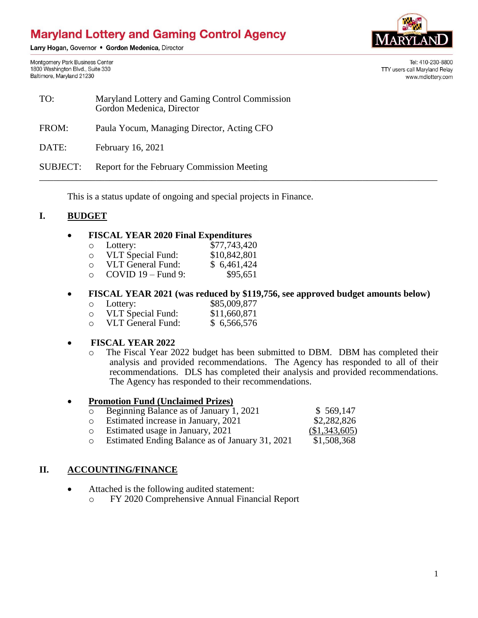# **Maryland Lottery and Gaming Control Agency**

Larry Hogan, Governor . Gordon Medenica, Director

Montgomery Park Business Center 1800 Washington Blvd., Suite 330 Baltimore, Maryland 21230



Tel: 410-230-8800 TTY users call Maryland Relay www.mdlottery.com

| TO:             | Maryland Lottery and Gaming Control Commission<br>Gordon Medenica, Director |
|-----------------|-----------------------------------------------------------------------------|
| FROM:           | Paula Yocum, Managing Director, Acting CFO                                  |
| DATE:           | February 16, 2021                                                           |
| <b>SUBJECT:</b> | Report for the February Commission Meeting                                  |

This is a status update of ongoing and special projects in Finance.

### **I. BUDGET**

#### **FISCAL YEAR 2020 Final Expenditures**

| $\circ$ | Lottery:                 | \$77,743,420 |
|---------|--------------------------|--------------|
| O       | <b>VLT</b> Special Fund: | \$10,842,801 |
| ∩       | <b>VLT General Fund:</b> | \$6,461,424  |
| ∩       | $COVID 19 - Fund 9$ :    | \$95,651     |

#### **FISCAL YEAR 2021 (was reduced by \$119,756, see approved budget amounts below)**

| Lottery:          | \$85,009,877 |
|-------------------|--------------|
| VLT Special Fund: | \$11.660.871 |

\$11,660,871<br>\$6,566,576  $\circ$  VLT General Fund:

#### **FISCAL YEAR 2022**

o The Fiscal Year 2022 budget has been submitted to DBM. DBM has completed their analysis and provided recommendations. The Agency has responded to all of their recommendations. DLS has completed their analysis and provided recommendations. The Agency has responded to their recommendations.

# **Promotion Fund (Unclaimed Prizes)**

|         | o Beginning Balance as of January 1, 2021       | \$569,147     |
|---------|-------------------------------------------------|---------------|
|         | o Estimated increase in January, 2021           | \$2,282,826   |
|         | o Estimated usage in January, 2021              | (\$1,343,605) |
| $\circ$ | Estimated Ending Balance as of January 31, 2021 | \$1,508,368   |

# **II. ACCOUNTING/FINANCE**

- Attached is the following audited statement:
	- o FY 2020 Comprehensive Annual Financial Report